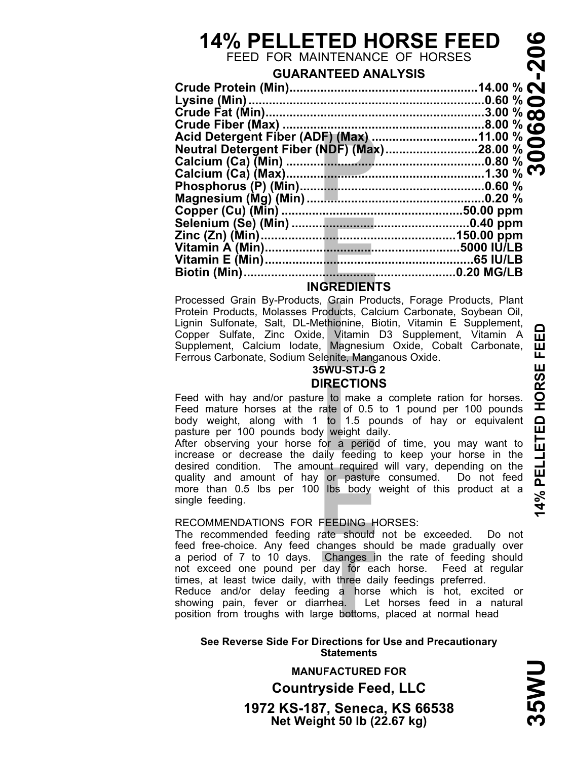# **14% PELLETED HORSE FEED**

FEED FOR MAINTENANCE OF HORSES

# **GUARANTEED ANALYSIS**

| <b>INGREDIENTS</b>                                                  |  |  |
|---------------------------------------------------------------------|--|--|
| Processed Grain By-Products, Grain Products, Forage Products, Plant |  |  |

## **INGREDIENTS**

Grain Proceducts, Calentinionine, B<br>
L<sub>i</sub>, Vitamin<br>
Magnesiu<br>
Lenite, Mang<br> **LINECTION<br>
RECTION** Protein Products, Molasses Products, Calcium Carbonate, Soybean Oil, Lignin Sulfonate, Salt, DL-Methionine, Biotin, Vitamin E Supplement, Copper Sulfate, Zinc Oxide, Vitamin D3 Supplement, Vitamin A Supplement, Calcium Iodate, Magnesium Oxide, Cobalt Carbonate, Ferrous Carbonate, Sodium Selenite, Manganous Oxide.

### **35WU-STJ-G 2 DIRECTIONS**

**LIRECTIONS**<br>Feed with hay and/or pasture to make a complete ration for horses.<br>Feed mature horses at the rate of 0.5 to 1 pound per 100 pounds<br>body weight, along with 1 to 1.5 pounds of hay or equivalent<br>pasture per 100 p Feed with hay and/or pasture to make a complete ration for horses. Feed mature horses at the rate of 0.5 to 1 pound per 100 pounds body weight, along with 1 to 1.5 pounds of hay or equivalent pasture per 100 pounds body weight daily.

desired condution. The amount required will vary, depending on the<br>quality and amount of hay or pasture consumed. Do not feed<br>more than 0.5 lbs per 100 lbs body weight of this product at a<br>single feeding.<br>The recommended f After observing your horse for a period of time, you may want to desired condition. The amount required will vary, depending on the more than 0.5 lbs per 100 lbs body weight of this product at a single feeding.

#### RECOMMENDATIONS FOR FEEDING HORSES:

**Thanges in the day for each of the day for each of the day of the day of the day of the day of the day of the day of the day of the day of the day of the day of the day of the day of the day of the day of the day of the d** The recommended feeding rate should not be exceeded. Do not feed free-choice. Any feed changes should be made gradually over a period of 7 to 10 days. Changes in the rate of feeding should not exceed one pound per day for each horse. Feed at regular times, at least twice daily, with three daily feedings preferred.

Reduce and/or delay feeding a horse which is hot, excited or showing pain, fever or diarrhea. Let horses feed in a natural position from troughs with large bottoms, placed at normal head

#### **See Reverse Side For Directions for Use and Precautionary Statements**

**Net Weight 50 lb (22.67 kg) 1972 KS-187, Seneca, KS 66538 Countryside Feed, LLC MANUFACTURED FOR**

**DMSS**